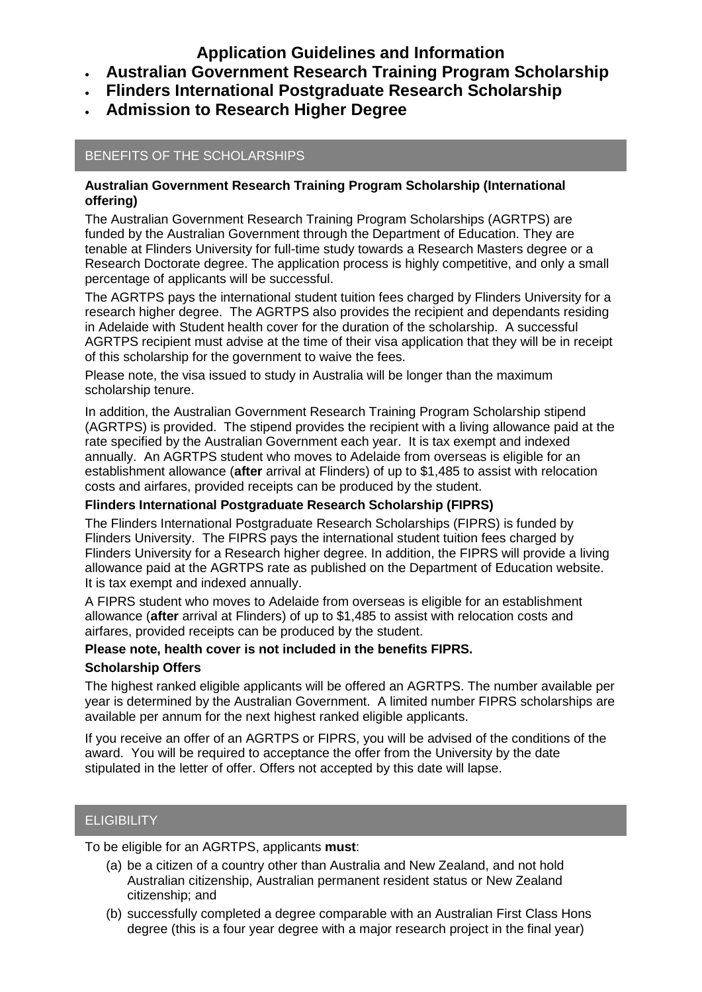**Application Guidelines and Information**

- **Australian Government Research Training Program Scholarship**
- **Flinders International Postgraduate Research Scholarship**
- **Admission to Research Higher Degree**

## BENEFITS OF THE SCHOLARSHIPS

### **Australian Government Research Training Program Scholarship (International offering)**

The Australian Government Research Training Program Scholarships (AGRTPS) are funded by the Australian Government through the Department of Education. They are tenable at Flinders University for full-time study towards a Research Masters degree or a Research Doctorate degree. The application process is highly competitive, and only a small percentage of applicants will be successful.

The AGRTPS pays the international student tuition fees charged by Flinders University for a research higher degree. The AGRTPS also provides the recipient and dependants residing in Adelaide with Student health cover for the duration of the scholarship. A successful AGRTPS recipient must advise at the time of their visa application that they will be in receipt of this scholarship for the government to waive the fees.

Please note, the visa issued to study in Australia will be longer than the maximum scholarship tenure.

In addition, the Australian Government Research Training Program Scholarship stipend (AGRTPS) is provided. The stipend provides the recipient with a living allowance paid at the rate specified by the Australian Government each year. It is tax exempt and indexed annually. An AGRTPS student who moves to Adelaide from overseas is eligible for an establishment allowance (**after** arrival at Flinders) of up to \$1,485 to assist with relocation costs and airfares, provided receipts can be produced by the student.

### **Flinders International Postgraduate Research Scholarship (FIPRS)**

The Flinders International Postgraduate Research Scholarships (FIPRS) is funded by Flinders University. The FIPRS pays the international student tuition fees charged by Flinders University for a Research higher degree. In addition, the FIPRS will provide a living allowance paid at the AGRTPS rate as published on the Department of Education website. It is tax exempt and indexed annually.

A FIPRS student who moves to Adelaide from overseas is eligible for an establishment allowance (**after** arrival at Flinders) of up to \$1,485 to assist with relocation costs and airfares, provided receipts can be produced by the student.

### **Please note, health cover is not included in the benefits FIPRS.**

### **Scholarship Offers**

The highest ranked eligible applicants will be offered an AGRTPS. The number available per year is determined by the Australian Government. A limited number FIPRS scholarships are available per annum for the next highest ranked eligible applicants.

If you receive an offer of an AGRTPS or FIPRS, you will be advised of the conditions of the award. You will be required to acceptance the offer from the University by the date stipulated in the letter of offer. Offers not accepted by this date will lapse.

# **ELIGIBILITY**

To be eligible for an AGRTPS, applicants **must**:

- (a) be a citizen of a country other than Australia and New Zealand, and not hold Australian citizenship, Australian permanent resident status or New Zealand citizenship; and
- (b) successfully completed a degree comparable with an Australian First Class Hons degree (this is a four year degree with a major research project in the final year)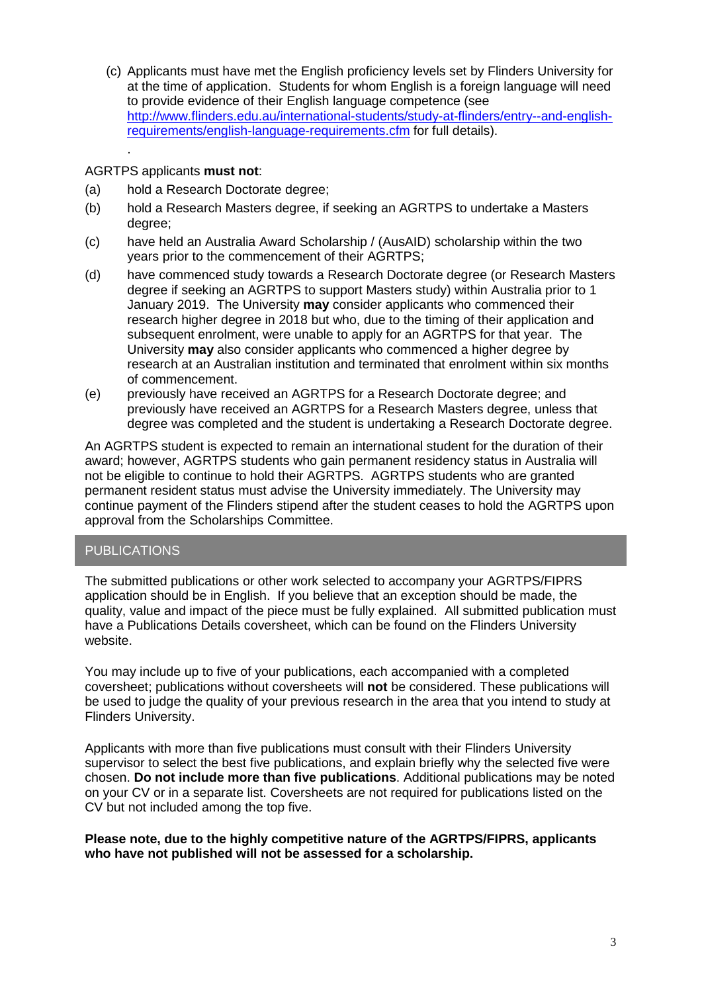(c) Applicants must have met the English proficiency levels set by Flinders University for at the time of application. Students for whom English is a foreign language will need to provide evidence of their English language competence (see [http://www.flinders.edu.au/international-students/study-at-flinders/entry--and-english](http://www.flinders.edu.au/international-students/study-at-flinders/entry--and-english-requirements/english-language-requirements.cfm)[requirements/english-language-requirements.cfm](http://www.flinders.edu.au/international-students/study-at-flinders/entry--and-english-requirements/english-language-requirements.cfm) for full details).

### AGRTPS applicants **must not**:

.

- (a) hold a Research Doctorate degree;
- (b) hold a Research Masters degree, if seeking an AGRTPS to undertake a Masters degree;
- (c) have held an Australia Award Scholarship / (AusAID) scholarship within the two years prior to the commencement of their AGRTPS;
- (d) have commenced study towards a Research Doctorate degree (or Research Masters degree if seeking an AGRTPS to support Masters study) within Australia prior to 1 January 2019. The University **may** consider applicants who commenced their research higher degree in 2018 but who, due to the timing of their application and subsequent enrolment, were unable to apply for an AGRTPS for that year. The University **may** also consider applicants who commenced a higher degree by research at an Australian institution and terminated that enrolment within six months of commencement.
- (e) previously have received an AGRTPS for a Research Doctorate degree; and previously have received an AGRTPS for a Research Masters degree, unless that degree was completed and the student is undertaking a Research Doctorate degree.

An AGRTPS student is expected to remain an international student for the duration of their award; however, AGRTPS students who gain permanent residency status in Australia will not be eligible to continue to hold their AGRTPS. AGRTPS students who are granted permanent resident status must advise the University immediately. The University may continue payment of the Flinders stipend after the student ceases to hold the AGRTPS upon approval from the Scholarships Committee.

### PUBLICATIONS

The submitted publications or other work selected to accompany your AGRTPS/FIPRS application should be in English. If you believe that an exception should be made, the quality, value and impact of the piece must be fully explained. All submitted publication must have a Publications Details coversheet, which can be found on the Flinders University website.

You may include up to five of your publications, each accompanied with a completed coversheet; publications without coversheets will **not** be considered. These publications will be used to judge the quality of your previous research in the area that you intend to study at Flinders University.

Applicants with more than five publications must consult with their Flinders University supervisor to select the best five publications, and explain briefly why the selected five were chosen. **Do not include more than five publications**. Additional publications may be noted on your CV or in a separate list. Coversheets are not required for publications listed on the CV but not included among the top five.

### **Please note, due to the highly competitive nature of the AGRTPS/FIPRS, applicants who have not published will not be assessed for a scholarship.**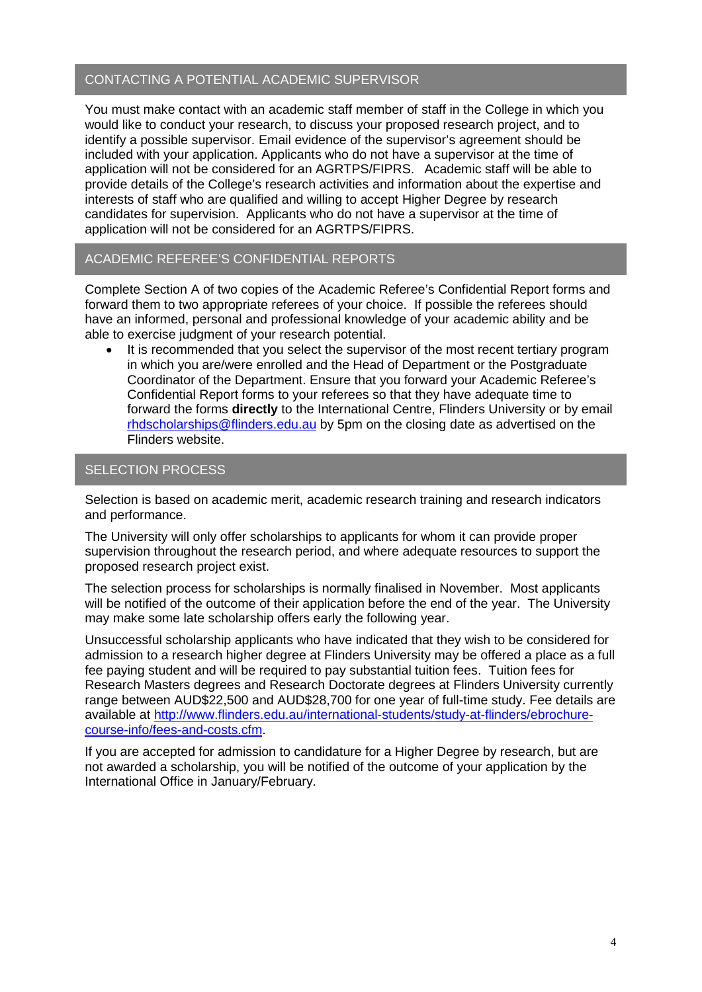### CONTACTING A POTENTIAL ACADEMIC SUPERVISOR

You must make contact with an academic staff member of staff in the College in which you would like to conduct your research, to discuss your proposed research project, and to identify a possible supervisor. Email evidence of the supervisor's agreement should be included with your application. Applicants who do not have a supervisor at the time of application will not be considered for an AGRTPS/FIPRS. Academic staff will be able to provide details of the College's research activities and information about the expertise and interests of staff who are qualified and willing to accept Higher Degree by research candidates for supervision. Applicants who do not have a supervisor at the time of application will not be considered for an AGRTPS/FIPRS.

### ACADEMIC REFEREE'S CONFIDENTIAL REPORTS

Complete Section A of two copies of the Academic Referee's Confidential Report forms and forward them to two appropriate referees of your choice. If possible the referees should have an informed, personal and professional knowledge of your academic ability and be able to exercise judgment of your research potential.

It is recommended that you select the supervisor of the most recent tertiary program in which you are/were enrolled and the Head of Department or the Postgraduate Coordinator of the Department. Ensure that you forward your Academic Referee's Confidential Report forms to your referees so that they have adequate time to forward the forms **directly** to the International Centre, Flinders University or by email [rhdscholarships@flinders.edu.au](mailto:rhdscholarships@flinders.edu.au) by 5pm on the closing date as advertised on the Flinders website.

### SELECTION PROCESS

Selection is based on academic merit, academic research training and research indicators and performance.

The University will only offer scholarships to applicants for whom it can provide proper supervision throughout the research period, and where adequate resources to support the proposed research project exist.

The selection process for scholarships is normally finalised in November. Most applicants will be notified of the outcome of their application before the end of the year. The University may make some late scholarship offers early the following year.

Unsuccessful scholarship applicants who have indicated that they wish to be considered for admission to a research higher degree at Flinders University may be offered a place as a full fee paying student and will be required to pay substantial tuition fees. Tuition fees for Research Masters degrees and Research Doctorate degrees at Flinders University currently range between AUD\$22,500 and AUD\$28,700 for one year of full-time study. Fee details are available at [http://www.flinders.edu.au/international-students/study-at-flinders/ebrochure](http://www.flinders.edu.au/international-students/study-at-flinders/ebrochure-course-info/fees-and-costs.cfm)[course-info/fees-and-costs.cfm.](http://www.flinders.edu.au/international-students/study-at-flinders/ebrochure-course-info/fees-and-costs.cfm)

If you are accepted for admission to candidature for a Higher Degree by research, but are not awarded a scholarship, you will be notified of the outcome of your application by the International Office in January/February.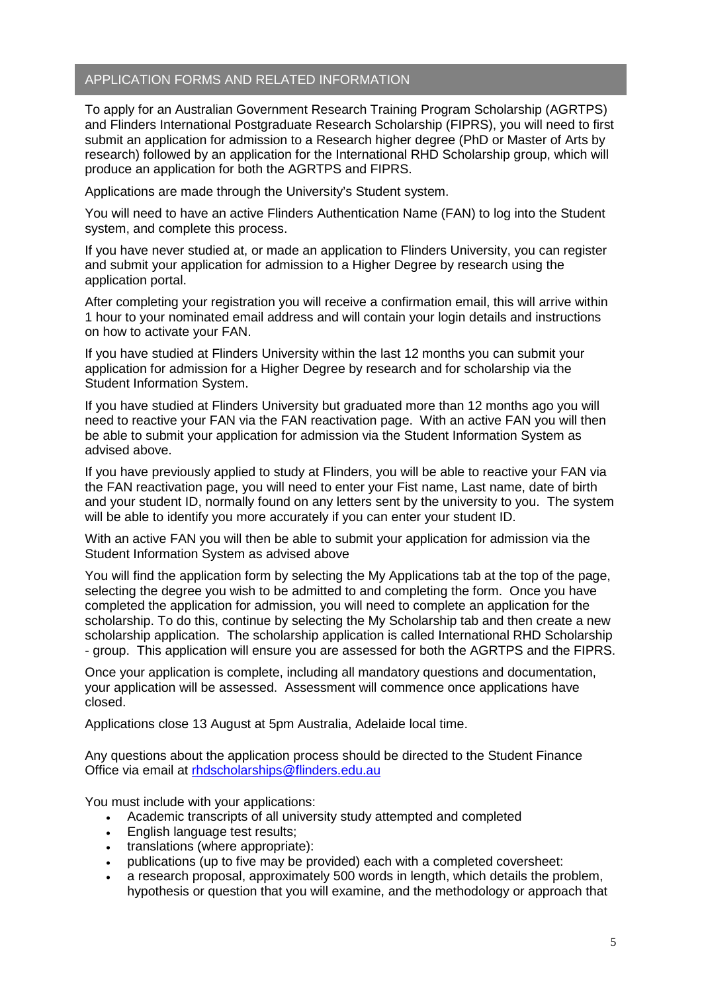### APPLICATION FORMS AND RELATED INFORMATION

To apply for an Australian Government Research Training Program Scholarship (AGRTPS) and Flinders International Postgraduate Research Scholarship (FIPRS), you will need to first submit an application for admission to a Research higher degree (PhD or Master of Arts by research) followed by an application for the International RHD Scholarship group, which will produce an application for both the AGRTPS and FIPRS.

Applications are made through the University's Student system.

You will need to have an active Flinders Authentication Name (FAN) to log into the Student system, and complete this process.

If you have never studied at, or made an application to Flinders University, you can register and submit your application for admission to a Higher Degree by research using the [application portal.](https://stuadmin.flinders.edu.au/student/S1/eApplications/eAppLogin.aspx?f=%23FL.LOGIN.WEB)

After completing your registration you will receive a confirmation email, this will arrive within 1 hour to your nominated email address and will contain your login details and instructions on how to activate your FAN.

If you have studied at Flinders University within the last 12 months you can submit your application for admission for a Higher Degree by research and for scholarship via the [Student Information System.](https://stuadmin.flinders.edu.au/student/)

If you have studied at Flinders University but graduated more than 12 months ago you will need to reactive your FAN via the [FAN reactivation page.](https://eapplicant.flinders.edu.au/reactivate) With an active FAN you will then be able to submit your application for admission via the [Student Information System](https://stuadmin.flinders.edu.au/student/) as advised above.

If you have previously applied to study at Flinders, you will be able to reactive your FAN via the [FAN reactivation page,](https://eapplicant.flinders.edu.au/reactivate) you will need to enter your Fist name, Last name, date of birth and your student ID, normally found on any letters sent by the university to you. The system will be able to identify you more accurately if you can enter your student ID.

With an active FAN you will then be able to submit your application for admission via the [Student Information System](https://stuadmin.flinders.edu.au/student/) as advised above

You will find the application form by selecting the My Applications tab at the top of the page, selecting the degree you wish to be admitted to and completing the form. Once you have completed the application for admission, you will need to complete an application for the scholarship. To do this, continue by selecting the My Scholarship tab and then create a new scholarship application. The scholarship application is called International RHD Scholarship - group. This application will ensure you are assessed for both the AGRTPS and the FIPRS.

Once your application is complete, including all mandatory questions and documentation, your application will be assessed. Assessment will commence once applications have closed.

Applications close 13 August at 5pm Australia, Adelaide local time.

Any questions about the application process should be directed to the Student Finance Office via email at [rhdscholarships@flinders.edu.au](mailto:rhdscholarships@flinders.edu.au)

You must include with your applications:

- Academic transcripts of all university study attempted and completed
- English language test results;
- translations (where appropriate):
- publications (up to five may be provided) each with a completed coversheet:
- a research proposal, approximately 500 words in length, which details the problem, hypothesis or question that you will examine, and the methodology or approach that